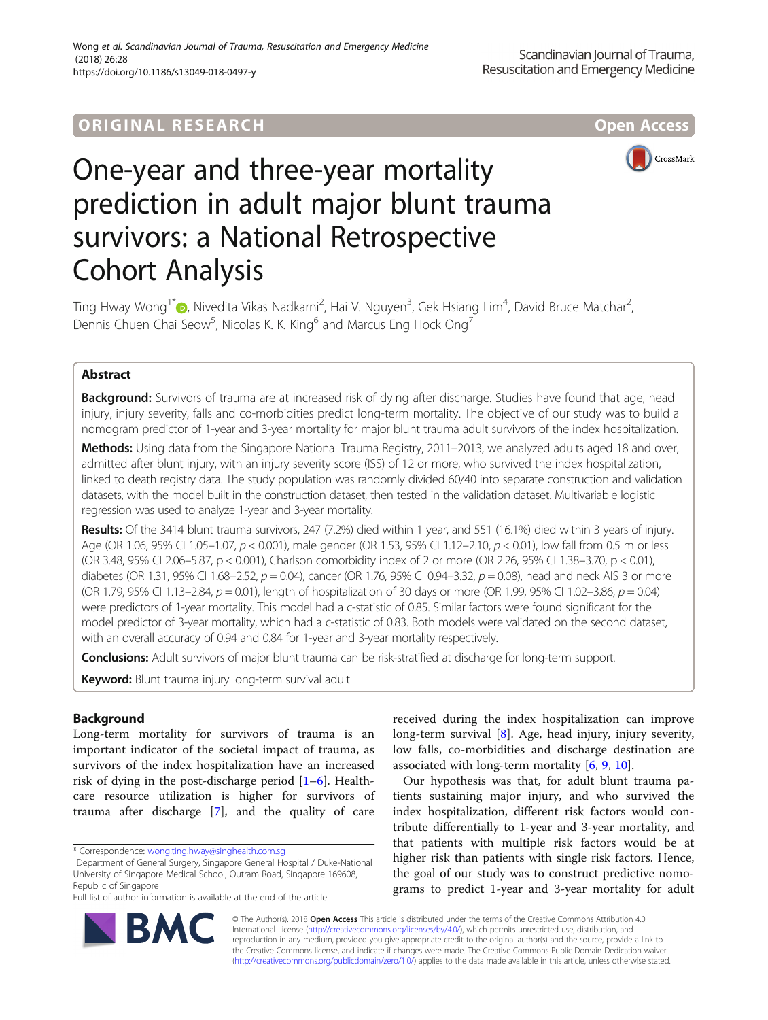## ORIGINAL RESEARCH **CONTRACT CONTRACT CONTRACT CONTRACT CONTRACT CONTRACT CONTRACT CONTRACT CONTRACT CONTRACT CONTRACT CONTRACT CONTRACT CONTRACT CONTRACT CONTRACT CONTRACT CONTRACT CONTRACT CONTRACT CONTRACT CONTRACT CONTR**



# One-year and three-year mortality prediction in adult major blunt trauma survivors: a National Retrospective Cohort Analysis

Ting Hway Wong $^{\text{1*}}$  $^{\text{1*}}$  $^{\text{1*}}$  (D, Nivedita Vikas Nadkarni $^2$ , Hai V. Nguyen $^3$ , Gek Hsiang Lim $^4$ , David Bruce Matchar $^2$ , Dennis Chuen Chai Seow<sup>5</sup>, Nicolas K. K. King<sup>6</sup> and Marcus Eng Hock Ong<sup>7</sup>

## Abstract

**Background:** Survivors of trauma are at increased risk of dying after discharge. Studies have found that age, head injury, injury severity, falls and co-morbidities predict long-term mortality. The objective of our study was to build a nomogram predictor of 1-year and 3-year mortality for major blunt trauma adult survivors of the index hospitalization.

Methods: Using data from the Singapore National Trauma Registry, 2011–2013, we analyzed adults aged 18 and over, admitted after blunt injury, with an injury severity score (ISS) of 12 or more, who survived the index hospitalization, linked to death registry data. The study population was randomly divided 60/40 into separate construction and validation datasets, with the model built in the construction dataset, then tested in the validation dataset. Multivariable logistic regression was used to analyze 1-year and 3-year mortality.

Results: Of the 3414 blunt trauma survivors, 247 (7.2%) died within 1 year, and 551 (16.1%) died within 3 years of injury. Age (OR 1.06, 95% CI 1.05–1.07, p < 0.001), male gender (OR 1.53, 95% CI 1.12–2.10, p < 0.01), low fall from 0.5 m or less (OR 3.48, 95% CI 2.06–5.87, p < 0.001), Charlson comorbidity index of 2 or more (OR 2.26, 95% CI 1.38–3.70, p < 0.01), diabetes (OR 1.31, 95% CI 1.68–2.52,  $p = 0.04$ ), cancer (OR 1.76, 95% CI 0.94–3.32,  $p = 0.08$ ), head and neck AIS 3 or more (OR 1.79, 95% CI 1.13–2.84,  $p = 0.01$ ), length of hospitalization of 30 days or more (OR 1.99, 95% CI 1.02–3.86,  $p = 0.04$ ) were predictors of 1-year mortality. This model had a c-statistic of 0.85. Similar factors were found significant for the model predictor of 3-year mortality, which had a c-statistic of 0.83. Both models were validated on the second dataset, with an overall accuracy of 0.94 and 0.84 for 1-year and 3-year mortality respectively.

**Conclusions:** Adult survivors of major blunt trauma can be risk-stratified at discharge for long-term support.

Keyword: Blunt trauma injury long-term survival adult

## Background

Long-term mortality for survivors of trauma is an important indicator of the societal impact of trauma, as survivors of the index hospitalization have an increased risk of dying in the post-discharge period [\[1](#page-9-0)–[6\]](#page-9-0). Healthcare resource utilization is higher for survivors of trauma after discharge [\[7](#page-9-0)], and the quality of care

received during the index hospitalization can improve long-term survival [\[8](#page-9-0)]. Age, head injury, injury severity, low falls, co-morbidities and discharge destination are associated with long-term mortality [[6,](#page-9-0) [9,](#page-9-0) [10\]](#page-9-0).

Our hypothesis was that, for adult blunt trauma patients sustaining major injury, and who survived the index hospitalization, different risk factors would contribute differentially to 1-year and 3-year mortality, and that patients with multiple risk factors would be at higher risk than patients with single risk factors. Hence, the goal of our study was to construct predictive nomograms to predict 1-year and 3-year mortality for adult



© The Author(s). 2018 Open Access This article is distributed under the terms of the Creative Commons Attribution 4.0 International License [\(http://creativecommons.org/licenses/by/4.0/](http://creativecommons.org/licenses/by/4.0/)), which permits unrestricted use, distribution, and reproduction in any medium, provided you give appropriate credit to the original author(s) and the source, provide a link to the Creative Commons license, and indicate if changes were made. The Creative Commons Public Domain Dedication waiver [\(http://creativecommons.org/publicdomain/zero/1.0/](http://creativecommons.org/publicdomain/zero/1.0/)) applies to the data made available in this article, unless otherwise stated.

<sup>\*</sup> Correspondence: [wong.ting.hway@singhealth.com.sg](mailto:wong.ting.hway@singhealth.com.sg) <sup>1</sup>

<sup>&</sup>lt;sup>1</sup>Department of General Surgery, Singapore General Hospital / Duke-National University of Singapore Medical School, Outram Road, Singapore 169608, Republic of Singapore

Full list of author information is available at the end of the article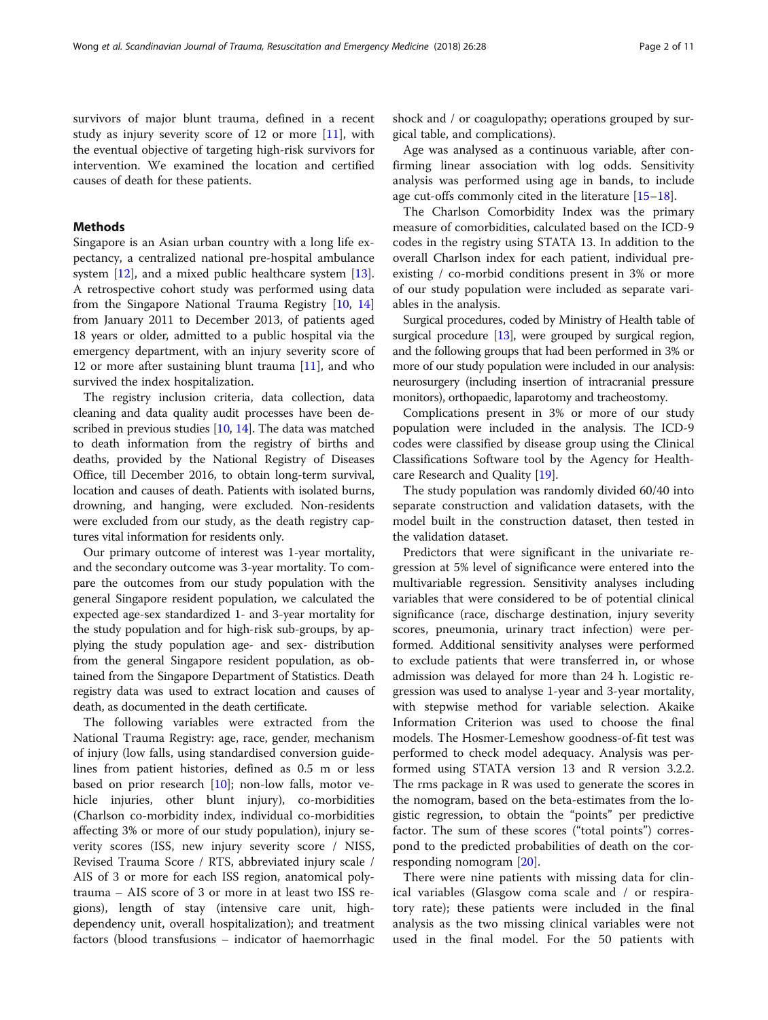survivors of major blunt trauma, defined in a recent study as injury severity score of 12 or more [\[11\]](#page-9-0), with the eventual objective of targeting high-risk survivors for intervention. We examined the location and certified causes of death for these patients.

## Methods

Singapore is an Asian urban country with a long life expectancy, a centralized national pre-hospital ambulance system [\[12](#page-9-0)], and a mixed public healthcare system [\[13](#page-9-0)]. A retrospective cohort study was performed using data from the Singapore National Trauma Registry [[10,](#page-9-0) [14](#page-9-0)] from January 2011 to December 2013, of patients aged 18 years or older, admitted to a public hospital via the emergency department, with an injury severity score of 12 or more after sustaining blunt trauma  $[11]$  $[11]$ , and who survived the index hospitalization.

The registry inclusion criteria, data collection, data cleaning and data quality audit processes have been described in previous studies [\[10](#page-9-0), [14](#page-9-0)]. The data was matched to death information from the registry of births and deaths, provided by the National Registry of Diseases Office, till December 2016, to obtain long-term survival, location and causes of death. Patients with isolated burns, drowning, and hanging, were excluded. Non-residents were excluded from our study, as the death registry captures vital information for residents only.

Our primary outcome of interest was 1-year mortality, and the secondary outcome was 3-year mortality. To compare the outcomes from our study population with the general Singapore resident population, we calculated the expected age-sex standardized 1- and 3-year mortality for the study population and for high-risk sub-groups, by applying the study population age- and sex- distribution from the general Singapore resident population, as obtained from the Singapore Department of Statistics. Death registry data was used to extract location and causes of death, as documented in the death certificate.

The following variables were extracted from the National Trauma Registry: age, race, gender, mechanism of injury (low falls, using standardised conversion guidelines from patient histories, defined as 0.5 m or less based on prior research  $[10]$  $[10]$ ; non-low falls, motor vehicle injuries, other blunt injury), co-morbidities (Charlson co-morbidity index, individual co-morbidities affecting 3% or more of our study population), injury severity scores (ISS, new injury severity score / NISS, Revised Trauma Score / RTS, abbreviated injury scale / AIS of 3 or more for each ISS region, anatomical polytrauma – AIS score of 3 or more in at least two ISS regions), length of stay (intensive care unit, highdependency unit, overall hospitalization); and treatment factors (blood transfusions – indicator of haemorrhagic shock and / or coagulopathy; operations grouped by surgical table, and complications).

Age was analysed as a continuous variable, after confirming linear association with log odds. Sensitivity analysis was performed using age in bands, to include age cut-offs commonly cited in the literature [\[15](#page-9-0)–[18\]](#page-9-0).

The Charlson Comorbidity Index was the primary measure of comorbidities, calculated based on the ICD-9 codes in the registry using STATA 13. In addition to the overall Charlson index for each patient, individual preexisting / co-morbid conditions present in 3% or more of our study population were included as separate variables in the analysis.

Surgical procedures, coded by Ministry of Health table of surgical procedure  $[13]$  $[13]$ , were grouped by surgical region, and the following groups that had been performed in 3% or more of our study population were included in our analysis: neurosurgery (including insertion of intracranial pressure monitors), orthopaedic, laparotomy and tracheostomy.

Complications present in 3% or more of our study population were included in the analysis. The ICD-9 codes were classified by disease group using the Clinical Classifications Software tool by the Agency for Healthcare Research and Quality [\[19\]](#page-9-0).

The study population was randomly divided 60/40 into separate construction and validation datasets, with the model built in the construction dataset, then tested in the validation dataset.

Predictors that were significant in the univariate regression at 5% level of significance were entered into the multivariable regression. Sensitivity analyses including variables that were considered to be of potential clinical significance (race, discharge destination, injury severity scores, pneumonia, urinary tract infection) were performed. Additional sensitivity analyses were performed to exclude patients that were transferred in, or whose admission was delayed for more than 24 h. Logistic regression was used to analyse 1-year and 3-year mortality, with stepwise method for variable selection. Akaike Information Criterion was used to choose the final models. The Hosmer-Lemeshow goodness-of-fit test was performed to check model adequacy. Analysis was performed using STATA version 13 and R version 3.2.2. The rms package in R was used to generate the scores in the nomogram, based on the beta-estimates from the logistic regression, to obtain the "points" per predictive factor. The sum of these scores ("total points") correspond to the predicted probabilities of death on the corresponding nomogram [\[20\]](#page-9-0).

There were nine patients with missing data for clinical variables (Glasgow coma scale and / or respiratory rate); these patients were included in the final analysis as the two missing clinical variables were not used in the final model. For the 50 patients with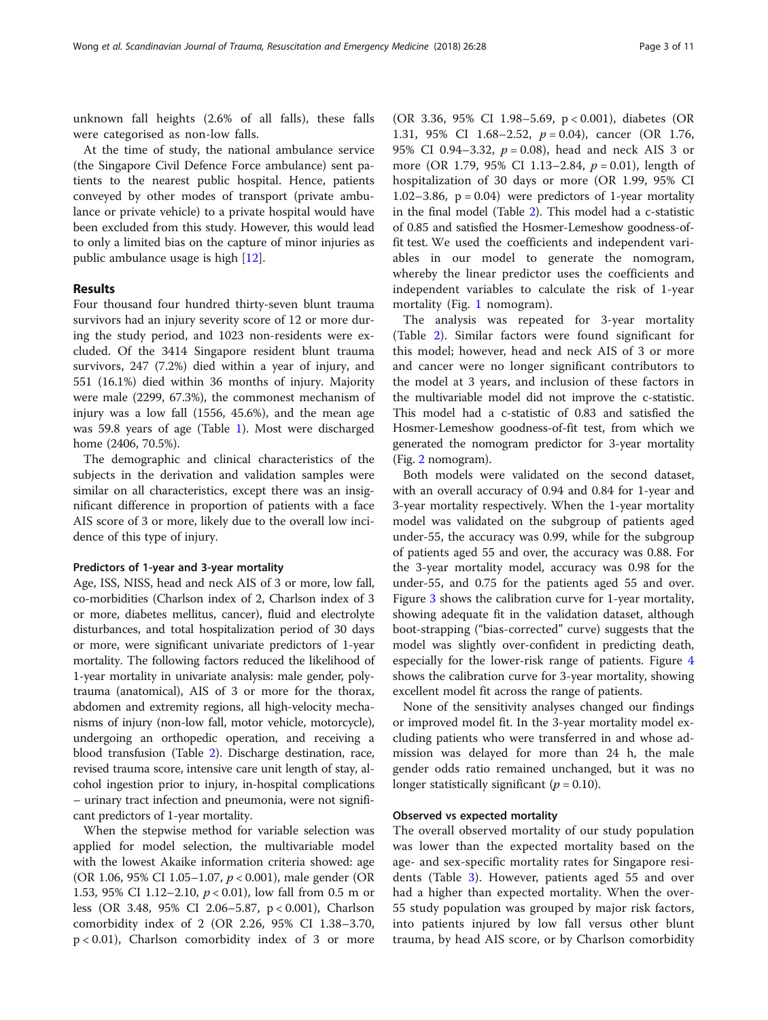unknown fall heights (2.6% of all falls), these falls were categorised as non-low falls.

At the time of study, the national ambulance service (the Singapore Civil Defence Force ambulance) sent patients to the nearest public hospital. Hence, patients conveyed by other modes of transport (private ambulance or private vehicle) to a private hospital would have been excluded from this study. However, this would lead to only a limited bias on the capture of minor injuries as public ambulance usage is high [[12\]](#page-9-0).

## Results

Four thousand four hundred thirty-seven blunt trauma survivors had an injury severity score of 12 or more during the study period, and 1023 non-residents were excluded. Of the 3414 Singapore resident blunt trauma survivors, 247 (7.2%) died within a year of injury, and 551 (16.1%) died within 36 months of injury. Majority were male (2299, 67.3%), the commonest mechanism of injury was a low fall (1556, 45.6%), and the mean age was 59.8 years of age (Table [1\)](#page-3-0). Most were discharged home (2406, 70.5%).

The demographic and clinical characteristics of the subjects in the derivation and validation samples were similar on all characteristics, except there was an insignificant difference in proportion of patients with a face AIS score of 3 or more, likely due to the overall low incidence of this type of injury.

#### Predictors of 1-year and 3-year mortality

Age, ISS, NISS, head and neck AIS of 3 or more, low fall, co-morbidities (Charlson index of 2, Charlson index of 3 or more, diabetes mellitus, cancer), fluid and electrolyte disturbances, and total hospitalization period of 30 days or more, were significant univariate predictors of 1-year mortality. The following factors reduced the likelihood of 1-year mortality in univariate analysis: male gender, polytrauma (anatomical), AIS of 3 or more for the thorax, abdomen and extremity regions, all high-velocity mechanisms of injury (non-low fall, motor vehicle, motorcycle), undergoing an orthopedic operation, and receiving a blood transfusion (Table [2](#page-4-0)). Discharge destination, race, revised trauma score, intensive care unit length of stay, alcohol ingestion prior to injury, in-hospital complications – urinary tract infection and pneumonia, were not significant predictors of 1-year mortality.

When the stepwise method for variable selection was applied for model selection, the multivariable model with the lowest Akaike information criteria showed: age (OR 1.06, 95% CI 1.05–1.07, p < 0.001), male gender (OR 1.53, 95% CI 1.12–2.10, p < 0.01), low fall from 0.5 m or less (OR 3.48, 95% CI 2.06–5.87, p < 0.001), Charlson comorbidity index of 2 (OR 2.26, 95% CI 1.38–3.70, p < 0.01), Charlson comorbidity index of 3 or more (OR 3.36, 95% CI 1.98–5.69, p < 0.001), diabetes (OR 1.31, 95% CI 1.68–2.52, p = 0.04), cancer (OR 1.76, 95% CI 0.94–3.32,  $p = 0.08$ ), head and neck AIS 3 or more (OR 1.79, 95% CI 1.13–2.84,  $p = 0.01$ ), length of hospitalization of 30 days or more (OR 1.99, 95% CI 1.02–3.86,  $p = 0.04$ ) were predictors of 1-year mortality in the final model (Table [2](#page-4-0)). This model had a c-statistic of 0.85 and satisfied the Hosmer-Lemeshow goodness-offit test. We used the coefficients and independent variables in our model to generate the nomogram, whereby the linear predictor uses the coefficients and independent variables to calculate the risk of 1-year mortality (Fig. [1](#page-5-0) nomogram).

The analysis was repeated for 3-year mortality (Table [2\)](#page-4-0). Similar factors were found significant for this model; however, head and neck AIS of 3 or more and cancer were no longer significant contributors to the model at 3 years, and inclusion of these factors in the multivariable model did not improve the c-statistic. This model had a c-statistic of 0.83 and satisfied the Hosmer-Lemeshow goodness-of-fit test, from which we generated the nomogram predictor for 3-year mortality (Fig. [2](#page-5-0) nomogram).

Both models were validated on the second dataset, with an overall accuracy of 0.94 and 0.84 for 1-year and 3-year mortality respectively. When the 1-year mortality model was validated on the subgroup of patients aged under-55, the accuracy was 0.99, while for the subgroup of patients aged 55 and over, the accuracy was 0.88. For the 3-year mortality model, accuracy was 0.98 for the under-55, and 0.75 for the patients aged 55 and over. Figure [3](#page-6-0) shows the calibration curve for 1-year mortality, showing adequate fit in the validation dataset, although boot-strapping ("bias-corrected" curve) suggests that the model was slightly over-confident in predicting death, especially for the lower-risk range of patients. Figure [4](#page-6-0) shows the calibration curve for 3-year mortality, showing excellent model fit across the range of patients.

None of the sensitivity analyses changed our findings or improved model fit. In the 3-year mortality model excluding patients who were transferred in and whose admission was delayed for more than 24 h, the male gender odds ratio remained unchanged, but it was no longer statistically significant ( $p = 0.10$ ).

## Observed vs expected mortality

The overall observed mortality of our study population was lower than the expected mortality based on the age- and sex-specific mortality rates for Singapore residents (Table [3](#page-7-0)). However, patients aged 55 and over had a higher than expected mortality. When the over-55 study population was grouped by major risk factors, into patients injured by low fall versus other blunt trauma, by head AIS score, or by Charlson comorbidity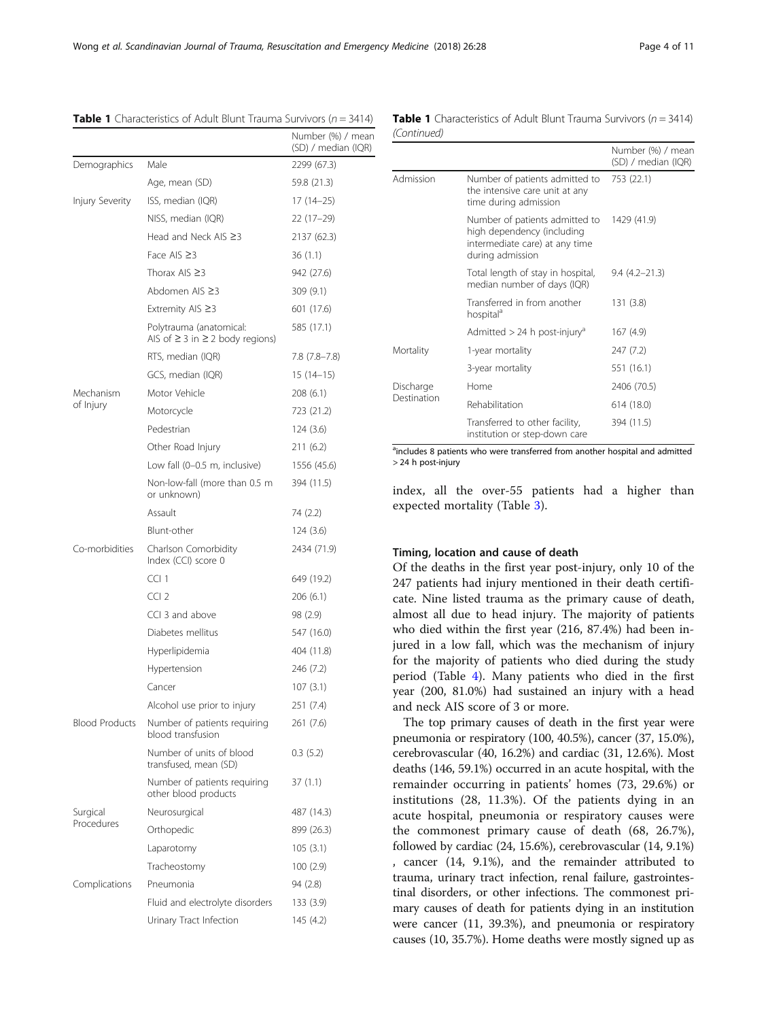> 24 h post-injury

index, all the over-55 patients had a higher than expected mortality (Table [3](#page-7-0)).

#### Timing, location and cause of death

Of the deaths in the first year post-injury, only 10 of the 247 patients had injury mentioned in their death certificate. Nine listed trauma as the primary cause of death, almost all due to head injury. The majority of patients who died within the first year (216, 87.4%) had been injured in a low fall, which was the mechanism of injury for the majority of patients who died during the study period (Table [4](#page-7-0)). Many patients who died in the first year (200, 81.0%) had sustained an injury with a head and neck AIS score of 3 or more.

The top primary causes of death in the first year were pneumonia or respiratory (100, 40.5%), cancer (37, 15.0%), cerebrovascular (40, 16.2%) and cardiac (31, 12.6%). Most deaths (146, 59.1%) occurred in an acute hospital, with the remainder occurring in patients' homes (73, 29.6%) or institutions (28, 11.3%). Of the patients dying in an acute hospital, pneumonia or respiratory causes were the commonest primary cause of death (68, 26.7%), followed by cardiac (24, 15.6%), cerebrovascular (14, 9.1%) , cancer (14, 9.1%), and the remainder attributed to trauma, urinary tract infection, renal failure, gastrointestinal disorders, or other infections. The commonest primary causes of death for patients dying in an institution were cancer (11, 39.3%), and pneumonia or respiratory causes (10, 35.7%). Home deaths were mostly signed up as

Number (%) / mean (SD) / median (IQR)

<span id="page-3-0"></span>**Table 1** Characteristics of Adult Blunt Trauma Survivors ( $n = 3414$ )

|                       |                                                                      | $(3D)$ / Theoral ( |
|-----------------------|----------------------------------------------------------------------|--------------------|
| Demographics          | Male                                                                 | 2299 (67.3)        |
|                       | Age, mean (SD)                                                       | 59.8 (21.3)        |
| Injury Severity       | ISS, median (IQR)                                                    | $17(14-25)$        |
|                       | NISS, median (IQR)                                                   | $22(17-29)$        |
|                       | Head and Neck AIS $\geq$ 3                                           | 2137 (62.3)        |
|                       | Face AIS $\geq$ 3                                                    | 36(1.1)            |
|                       | Thorax AIS $\geq$ 3                                                  | 942 (27.6)         |
|                       | Abdomen AIS ≥3                                                       | 309(9.1)           |
|                       | Extremity AIS ≥3                                                     | 601 (17.6)         |
|                       | Polytrauma (anatomical:<br>AIS of $\geq$ 3 in $\geq$ 2 body regions) | 585 (17.1)         |
|                       | RTS, median (IQR)                                                    | 7.8 (7.8–7.8)      |
|                       | GCS, median (IQR)                                                    | $15(14-15)$        |
| Mechanism             | Motor Vehicle                                                        | 208 (6.1)          |
| of Injury             | Motorcycle                                                           | 723 (21.2)         |
|                       | Pedestrian                                                           | 124(3.6)           |
|                       | Other Road Injury                                                    | 211(6.2)           |
|                       | Low fall (0-0.5 m, inclusive)                                        | 1556 (45.6)        |
|                       | Non-low-fall (more than 0.5 m<br>or unknown)                         | 394 (11.5)         |
|                       | Assault                                                              | 74 (2.2)           |
|                       | Blunt-other                                                          | 124 (3.6)          |
| Co-morbidities        | Charlson Comorbidity<br>Index (CCI) score 0                          | 2434 (71.9)        |
|                       | CCI1                                                                 | 649 (19.2)         |
|                       | CCI <sub>2</sub>                                                     | 206 (6.1)          |
|                       | CCI 3 and above                                                      | 98 (2.9)           |
|                       | Diabetes mellitus                                                    | 547 (16.0)         |
|                       | Hyperlipidemia                                                       | 404 (11.8)         |
|                       | Hypertension                                                         | 246 (7.2)          |
|                       | Cancer                                                               | 107(3.1)           |
|                       | Alcohol use prior to injury                                          | 251 (7.4)          |
| <b>Blood Products</b> | Number of patients requiring<br>blood transfusion                    | 261 (7.6)          |
|                       | Number of units of blood<br>transfused, mean (SD)                    | 0.3(5.2)           |
|                       | Number of patients requiring<br>other blood products                 | 37(1.1)            |
| Surgical              | Neurosurgical                                                        | 487 (14.3)         |
| Procedures            | Orthopedic                                                           | 899 (26.3)         |
|                       | Laparotomy                                                           | 105(3.1)           |
|                       | Tracheostomy                                                         | 100(2.9)           |
| Complications         | Pneumonia                                                            | 94 (2.8)           |
|                       | Fluid and electrolyte disorders                                      | 133 (3.9)          |
|                       | Urinary Tract Infection                                              | 145 (4.2)          |
|                       |                                                                      |                    |

**Table 1** Characteristics of Adult Blunt Trauma Survivors ( $n = 3414$ ) (Continued)

|                          |                                                                                                                    | Number (%) / mean<br>(SD) / median (IQR) |
|--------------------------|--------------------------------------------------------------------------------------------------------------------|------------------------------------------|
| Admission                | Number of patients admitted to<br>the intensive care unit at any<br>time during admission                          | 753 (22.1)                               |
|                          | Number of patients admitted to<br>high dependency (including<br>intermediate care) at any time<br>during admission | 1429 (41.9)                              |
|                          | Total length of stay in hospital,<br>median number of days (IQR)                                                   | $9.4(4.2 - 21.3)$                        |
|                          | Transferred in from another<br>hospital <sup>a</sup>                                                               | 131 (3.8)                                |
|                          | Admitted $> 24$ h post-injury <sup>a</sup>                                                                         | 167 (4.9)                                |
| Mortality                | 1-year mortality                                                                                                   | 247 (7.2)                                |
|                          | 3-year mortality                                                                                                   | 551 (16.1)                               |
| Discharge<br>Destination | Home                                                                                                               | 2406 (70.5)                              |
|                          | Rehabilitation                                                                                                     | 614 (18.0)                               |
|                          | Transferred to other facility,<br>institution or step-down care                                                    | 394 (11.5)                               |

<sup>a</sup>includes 8 patients who were transferred from another hospital and admitted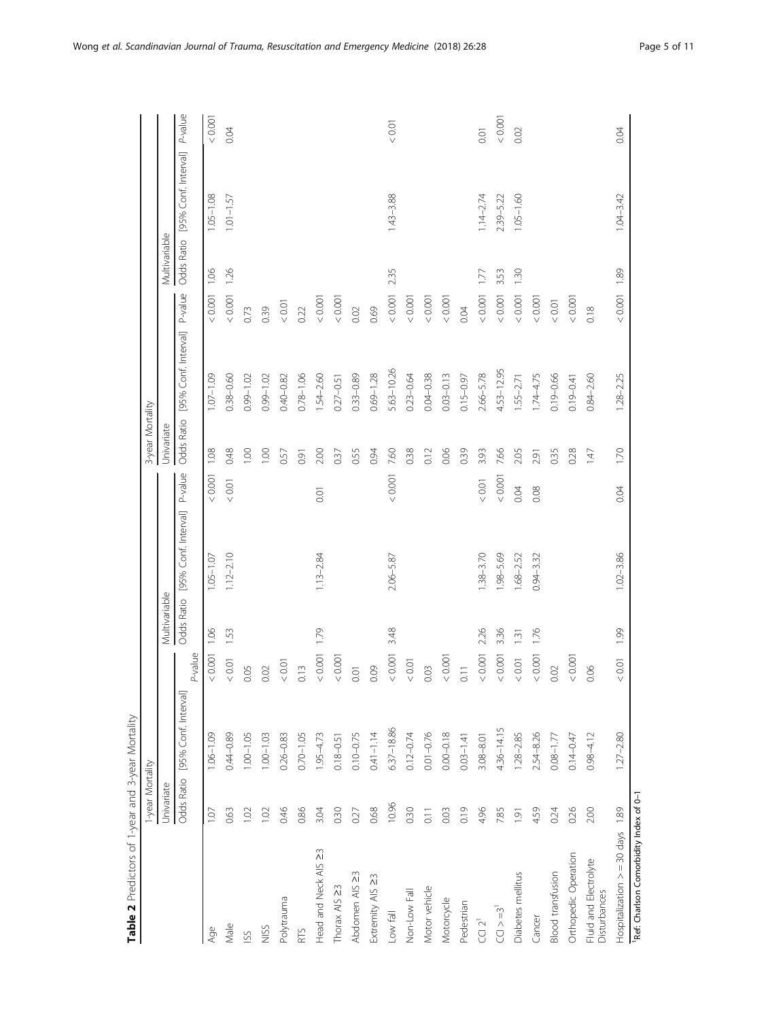<span id="page-4-0"></span>

|                                        | I-year Mortality   |                      |                                 |                  |                                 |          | 3-year Mortality |                              |          |               |                                 |         |
|----------------------------------------|--------------------|----------------------|---------------------------------|------------------|---------------------------------|----------|------------------|------------------------------|----------|---------------|---------------------------------|---------|
|                                        | Jnivariate         |                      |                                 | Multivariable    |                                 |          | Jnivariate       |                              |          | Multivariable |                                 |         |
|                                        | Odds Ratio         | [95% Conf. Interval] | P-value                         |                  | Odds Ratio [95% Conf. Interval] | P-value  | Odds Ratio       | [95% Conf. Interval] P-value |          |               | Odds Ratio [95% Conf. Interval] | P-value |
| Age                                    | 1.07               | $1.06 - 1.09$        | 0.001                           | 1.06             | $1.05 - 1.07$                   | < 0.001  | 1.08             | $1.07 - 1.09$                | < 0.001  | 1.06          | $1.05 - 1.08$                   | 0.001   |
| Male                                   | 0.63               | 0.44-0.89            | $< 0.01$                        | 1.53             | $1.12 - 2.10$                   | $< 0.01$ | 0.48             | $0.38 - 0.60$                | 0.001    | 1.26          | $1.01 - 1.57$                   | 0.04    |
| SS                                     | 1.02               | $1.00 - 1.05$        | 0.05                            |                  |                                 |          | 00.1             | $0.99 - 1.02$                | 0.73     |               |                                 |         |
| NISS                                   | 1.02               | $1.00 - 1.03$        | 0.02                            |                  |                                 |          | 001              | $0.99 - 1.02$                | 0.39     |               |                                 |         |
| Polytrauma                             | 0.46               | $0.26 - 0.83$        | $<0.01$                         |                  |                                 |          | 0.57             | $0.40 - 0.82$                | $< 0.01$ |               |                                 |         |
| RTS                                    | 0.86               | $0.70 - 1.05$        | 0.13                            |                  |                                 |          | 0.91             | $0.78 - 1.06$                | 0.22     |               |                                 |         |
| Head and Neck AIS 23                   | 3.04               | $1.95 - 4.73$        | 10001                           | 1.79             | $1.13 - 2.84$                   | 0.01     | 2.00             | $1.54 - 2.60$                | < 0.001  |               |                                 |         |
| Thorax AIS 23                          | 0.30               | $0.18 - 0.51$        | < 0.001                         |                  |                                 |          | 0.37             | $0.27 - 0.51$                | < 0.001  |               |                                 |         |
| Abdomen AIS 23                         | 0.27               | $0.10 - 0.75$        | 0.01                            |                  |                                 |          | 0.55             | $0.33 - 0.89$                | 0.02     |               |                                 |         |
| Extremity AIS 23                       | 0.68               | $0.41 - 1.14$        | 0.09                            |                  |                                 |          | 0.94             | $0.69 - 1.28$                | 0.69     |               |                                 |         |
| Low fall                               | 10.96              | $6.37 - 18.86$       | 0.001                           | 3.48             | $2.06 - 5.87$                   | < 0.001  | 7.60             | 5.63-10.26                   | < 0.001  | 2.35          | $1.43 - 3.88$                   | 0.01    |
| Non-Low Fall                           | 0.30               | $0.12 - 0.74$        | $<0.01$                         |                  |                                 |          | 0.38             | $0.23 - 0.64$                | < 0.001  |               |                                 |         |
| Motor vehicle                          | 0.11               | $0.01 - 0.76$        | 0.03                            |                  |                                 |          | 0.12             | $0.04 - 0.38$                | < 0.001  |               |                                 |         |
| Motorcycle                             | 0.03               | $0.00 - 0.18$        | < 0.001                         |                  |                                 |          | 0.06             | $0.03 - 0.13$                | < 0.001  |               |                                 |         |
| Pedestrian                             | 0.19               | $0.03 - 1.41$        | $\overline{0}$ . $\overline{1}$ |                  |                                 |          | 0.39             | $0.15 - 0.97$                | 0.04     |               |                                 |         |
| CCl <sup>1</sup>                       | 4.96               | 3.08-8.01            | < 0.001                         | 2.26             | $1.38 - 3.70$                   | 0.01     | 3.93             | $2.66 - 5.78$                | 0.001    | 1.77          | $1.14 - 2.74$                   | 0.01    |
| $CC > = 31$                            | 7.85               | 4.36-14.15           | < 0.001                         | 3.36             | 1.98-5.69                       | 0.001    | 7.66             | 4.53-12.95                   | < 0.001  | 3.53          | 2.39-5.22                       | 0.001   |
| Diabetes mellitus                      | $\overline{1}$ .91 | $1.28 - 2.85$        | $< 0.01$                        | $\overline{1}31$ | 1.68-2.52                       | 0.04     | 2.05             | $1.55 - 2.71$                | < 0.001  | 1.30          | $1.05 - 1.60$                   | 0.02    |
| Cancer                                 | 4.59               | 2.54-8.26            | 0.001                           | 1.76             | $0.94 - 3.32$                   | 0.08     | 2.91             | $1.74 - 4.75$                | < 0.001  |               |                                 |         |
| Blood transfusion                      | 0.24               | $0.08 - 1.77$        | 0.02                            |                  |                                 |          | 0.35             | $0.19 - 0.66$                | 0.01     |               |                                 |         |
| Orthopedic Operation                   | 0.26               | $0.14 - 0.47$        | < 0.001                         |                  |                                 |          | 0.28             | $0.19 - 0.41$                | < 0.001  |               |                                 |         |
| Fluid and Electrolyte<br>Disturbances  | 2.00               | $0.98 - 4.12$        | 0.06                            |                  |                                 |          | 147              | $0.84 - 2.60$                | 0.18     |               |                                 |         |
| Hospitalization $> = 30$ days 1.89     |                    | $1.27 - 2.80$        | $<0.01$                         | 1.99             | $1.02 - 3.86$                   | 0.04     | 1.70             | $1.28 - 2.25$                | < 0.001  | 1.89          | $1.04 - 3.42$                   | 0.04    |
| Ref: Charlson Comorbidity Index of 0-1 |                    |                      |                                 |                  |                                 |          |                  |                              |          |               |                                 |         |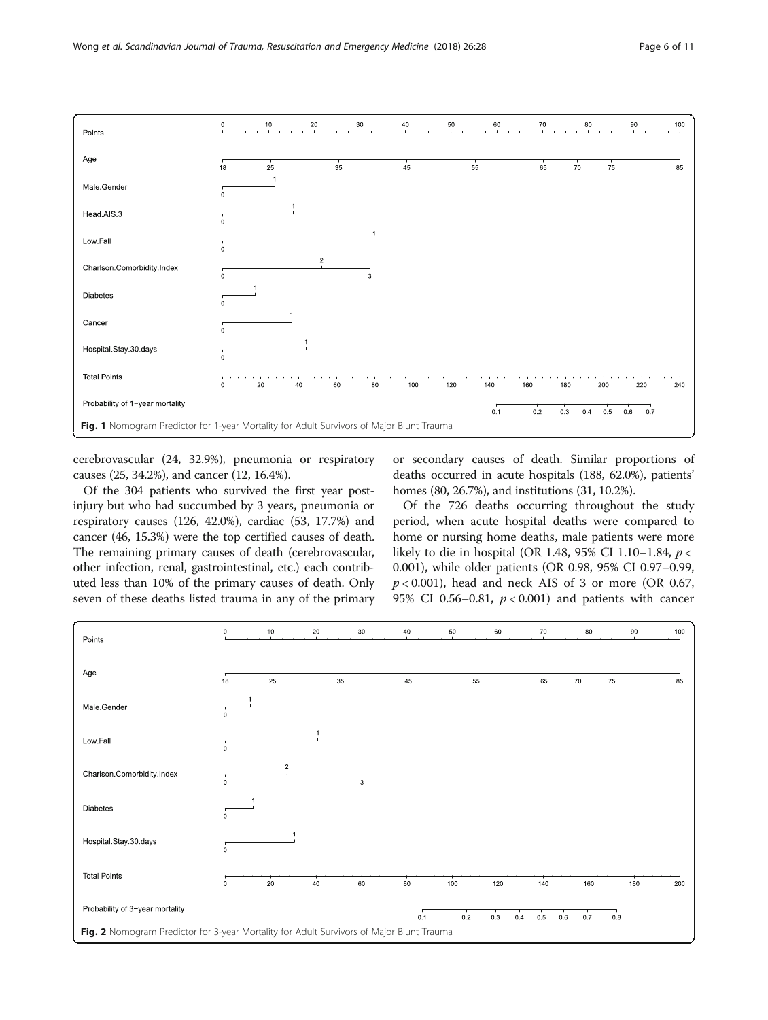<span id="page-5-0"></span>

cerebrovascular (24, 32.9%), pneumonia or respiratory causes (25, 34.2%), and cancer (12, 16.4%).

Of the 304 patients who survived the first year postinjury but who had succumbed by 3 years, pneumonia or respiratory causes (126, 42.0%), cardiac (53, 17.7%) and cancer (46, 15.3%) were the top certified causes of death. The remaining primary causes of death (cerebrovascular, other infection, renal, gastrointestinal, etc.) each contributed less than 10% of the primary causes of death. Only seven of these deaths listed trauma in any of the primary

or secondary causes of death. Similar proportions of deaths occurred in acute hospitals (188, 62.0%), patients' homes (80, 26.7%), and institutions (31, 10.2%).

Of the 726 deaths occurring throughout the study period, when acute hospital deaths were compared to home or nursing home deaths, male patients were more likely to die in hospital (OR 1.48, 95% CI 1.10–1.84, p < 0.001), while older patients (OR 0.98, 95% CI 0.97–0.99,  $p < 0.001$ ), head and neck AIS of 3 or more (OR 0.67, 95% CI 0.56–0.81,  $p < 0.001$  and patients with cancer

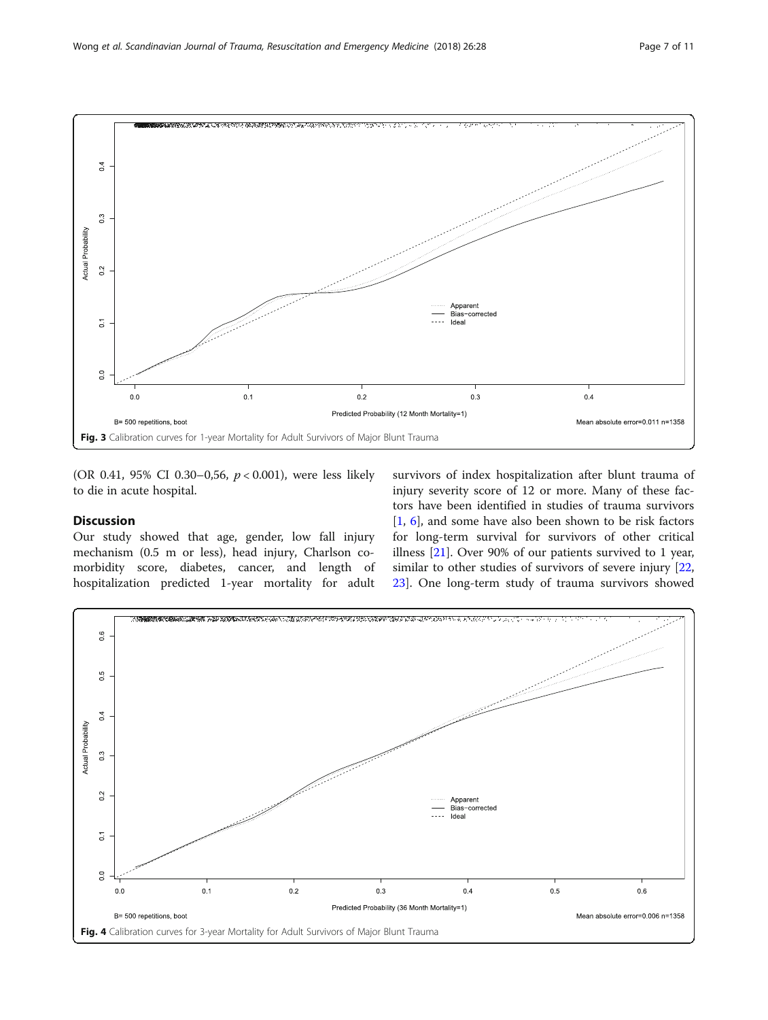

<span id="page-6-0"></span>

(OR 0.41, 95% CI 0.30–0,56, p < 0.001), were less likely to die in acute hospital.

## Discussion

Our study showed that age, gender, low fall injury mechanism (0.5 m or less), head injury, Charlson comorbidity score, diabetes, cancer, and length of hospitalization predicted 1-year mortality for adult

survivors of index hospitalization after blunt trauma of injury severity score of 12 or more. Many of these factors have been identified in studies of trauma survivors [[1,](#page-9-0) [6](#page-9-0)], and some have also been shown to be risk factors for long-term survival for survivors of other critical illness [\[21](#page-9-0)]. Over 90% of our patients survived to 1 year, similar to other studies of survivors of severe injury [[22](#page-9-0), [23\]](#page-9-0). One long-term study of trauma survivors showed

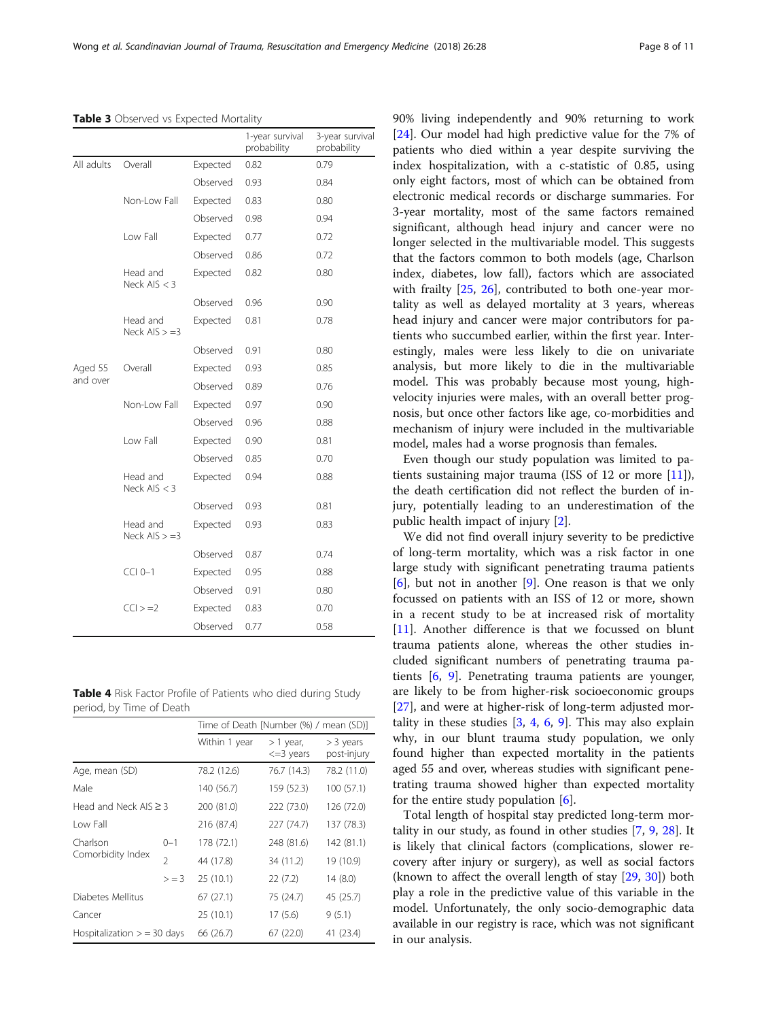|            |                             |          | 1-year survival<br>probability | 3-year survival<br>probability |
|------------|-----------------------------|----------|--------------------------------|--------------------------------|
| All adults | Overall                     | Expected | 0.82                           | 0.79                           |
|            |                             | Observed | 0.93                           | 0.84                           |
|            | Non-Low Fall                | Expected | 0.83                           | 0.80                           |
|            |                             | Observed | 0.98                           | 0.94                           |
|            | Low Fall                    | Expected | 0.77                           | 0.72                           |
|            |                             | Observed | 0.86                           | 0.72                           |
|            | Head and<br>Neck AIS $<$ 3  | Expected | 0.82                           | 0.80                           |
|            |                             | Observed | 0.96                           | 0.90                           |
|            | Head and<br>Neck $AIS > =3$ | Expected | 0.81                           | 0.78                           |
|            |                             | Observed | 0.91                           | 0.80                           |
| Aged 55    | Overall                     | Expected | 0.93                           | 0.85                           |
| and over   |                             | Observed | 0.89                           | 0.76                           |
|            | Non-Low Fall                | Expected | 0.97                           | 0.90                           |
|            |                             | Observed | 0.96                           | 0.88                           |
|            | Low Fall                    | Expected | 0.90                           | 0.81                           |
|            |                             | Observed | 0.85                           | 0.70                           |
|            | Head and<br>Neck AIS $<$ 3  | Expected | 0.94                           | 0.88                           |
|            |                             | Observed | 0.93                           | 0.81                           |
|            | Head and<br>Neck $AIS > =3$ | Expected | 0.93                           | 0.83                           |
|            |                             | Observed | 0.87                           | 0.74                           |
|            | $CCI$ $0-1$                 | Expected | 0.95                           | 0.88                           |
|            |                             | Observed | 0.91                           | 0.80                           |
|            | $CCI > =2$                  | Expected | 0.83                           | 0.70                           |
|            |                             | Observed | 0.77                           | 0.58                           |

<span id="page-7-0"></span>Table 3 Observed vs Expected Mortality

Table 4 Risk Factor Profile of Patients who died during Study period, by Time of Death

|                               |                | Time of Death [Number (%) / mean (SD)] |                               |                            |
|-------------------------------|----------------|----------------------------------------|-------------------------------|----------------------------|
|                               |                | Within 1 year                          | $>1$ year,<br>$\leq$ -3 years | $>$ 3 years<br>post-injury |
| Age, mean (SD)                |                | 78.2 (12.6)                            | 76.7 (14.3)                   | 78.2 (11.0)                |
| Male                          |                | 140 (56.7)                             | 159 (52.3)                    | 100 (57.1)                 |
| Head and Neck AIS $\geq$ 3    |                | 200 (81.0)                             | 222 (73.0)                    | 126 (72.0)                 |
| Low Fall                      |                | 216 (87.4)                             | 227 (74.7)                    | 137 (78.3)                 |
| Charlson                      | $0 - 1$        | 178 (72.1)                             | 248 (81.6)                    | 142 (81.1)                 |
| Comorbidity Index             | $\mathfrak{D}$ | 44 (17.8)                              | 34 (11.2)                     | 19 (10.9)                  |
|                               | > 3            | 25(10.1)                               | 22(7.2)                       | 14 (8.0)                   |
| Diabetes Mellitus             |                | 67(27.1)                               | 75 (24.7)                     | 45 (25.7)                  |
| Cancer                        |                | 25 (10.1)                              | 17(5.6)                       | 9(5.1)                     |
| Hospitalization $>$ = 30 days |                | 66 (26.7)                              | 67 (22.0)                     | 41 (23.4)                  |

90% living independently and 90% returning to work [[24\]](#page-9-0). Our model had high predictive value for the 7% of patients who died within a year despite surviving the index hospitalization, with a c-statistic of 0.85, using only eight factors, most of which can be obtained from electronic medical records or discharge summaries. For 3-year mortality, most of the same factors remained significant, although head injury and cancer were no longer selected in the multivariable model. This suggests that the factors common to both models (age, Charlson index, diabetes, low fall), factors which are associated with frailty [\[25](#page-9-0), [26](#page-9-0)], contributed to both one-year mortality as well as delayed mortality at 3 years, whereas head injury and cancer were major contributors for patients who succumbed earlier, within the first year. Interestingly, males were less likely to die on univariate analysis, but more likely to die in the multivariable model. This was probably because most young, highvelocity injuries were males, with an overall better prognosis, but once other factors like age, co-morbidities and mechanism of injury were included in the multivariable model, males had a worse prognosis than females.

Even though our study population was limited to patients sustaining major trauma (ISS of 12 or more  $[11]$  $[11]$ ), the death certification did not reflect the burden of injury, potentially leading to an underestimation of the public health impact of injury [[2\]](#page-9-0).

We did not find overall injury severity to be predictive of long-term mortality, which was a risk factor in one large study with significant penetrating trauma patients  $[6]$  $[6]$ , but not in another  $[9]$  $[9]$ . One reason is that we only focussed on patients with an ISS of 12 or more, shown in a recent study to be at increased risk of mortality [[11\]](#page-9-0). Another difference is that we focussed on blunt trauma patients alone, whereas the other studies included significant numbers of penetrating trauma patients [[6](#page-9-0), [9\]](#page-9-0). Penetrating trauma patients are younger, are likely to be from higher-risk socioeconomic groups [[27\]](#page-9-0), and were at higher-risk of long-term adjusted mortality in these studies  $[3, 4, 6, 9]$  $[3, 4, 6, 9]$  $[3, 4, 6, 9]$  $[3, 4, 6, 9]$  $[3, 4, 6, 9]$  $[3, 4, 6, 9]$  $[3, 4, 6, 9]$ . This may also explain why, in our blunt trauma study population, we only found higher than expected mortality in the patients aged 55 and over, whereas studies with significant penetrating trauma showed higher than expected mortality for the entire study population [[6\]](#page-9-0).

Total length of hospital stay predicted long-term mortality in our study, as found in other studies [\[7](#page-9-0), [9](#page-9-0), [28\]](#page-9-0). It is likely that clinical factors (complications, slower recovery after injury or surgery), as well as social factors (known to affect the overall length of stay [\[29,](#page-9-0) [30](#page-9-0)]) both play a role in the predictive value of this variable in the model. Unfortunately, the only socio-demographic data available in our registry is race, which was not significant in our analysis.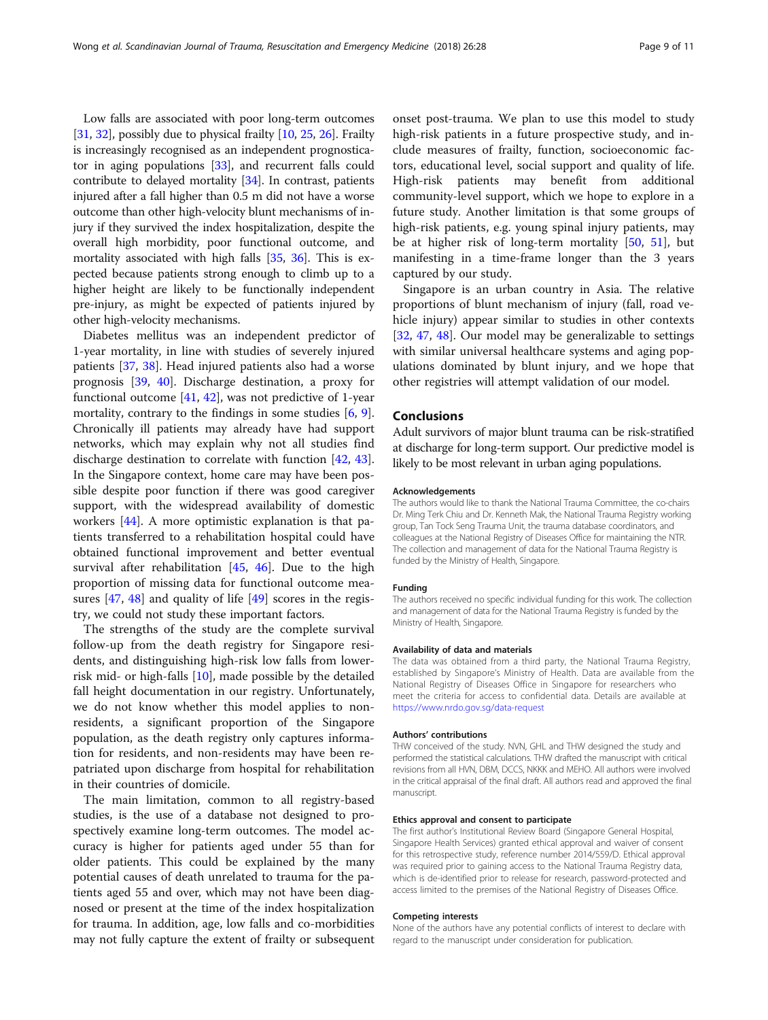Low falls are associated with poor long-term outcomes [[31](#page-9-0), [32\]](#page-9-0), possibly due to physical frailty [[10](#page-9-0), [25,](#page-9-0) [26](#page-9-0)]. Frailty is increasingly recognised as an independent prognosticator in aging populations [[33](#page-9-0)], and recurrent falls could contribute to delayed mortality [\[34\]](#page-9-0). In contrast, patients injured after a fall higher than 0.5 m did not have a worse outcome than other high-velocity blunt mechanisms of injury if they survived the index hospitalization, despite the overall high morbidity, poor functional outcome, and mortality associated with high falls [[35](#page-9-0), [36\]](#page-9-0). This is expected because patients strong enough to climb up to a higher height are likely to be functionally independent pre-injury, as might be expected of patients injured by other high-velocity mechanisms.

Diabetes mellitus was an independent predictor of 1-year mortality, in line with studies of severely injured patients [\[37](#page-9-0), [38](#page-9-0)]. Head injured patients also had a worse prognosis [[39](#page-9-0), [40\]](#page-9-0). Discharge destination, a proxy for functional outcome  $[41, 42]$  $[41, 42]$  $[41, 42]$  $[41, 42]$ , was not predictive of 1-year mortality, contrary to the findings in some studies [\[6](#page-9-0), [9](#page-9-0)]. Chronically ill patients may already have had support networks, which may explain why not all studies find discharge destination to correlate with function [\[42,](#page-10-0) [43](#page-10-0)]. In the Singapore context, home care may have been possible despite poor function if there was good caregiver support, with the widespread availability of domestic workers [\[44\]](#page-10-0). A more optimistic explanation is that patients transferred to a rehabilitation hospital could have obtained functional improvement and better eventual survival after rehabilitation [[45](#page-10-0), [46\]](#page-10-0). Due to the high proportion of missing data for functional outcome measures [\[47,](#page-10-0) [48](#page-10-0)] and quality of life [\[49](#page-10-0)] scores in the registry, we could not study these important factors.

The strengths of the study are the complete survival follow-up from the death registry for Singapore residents, and distinguishing high-risk low falls from lowerrisk mid- or high-falls [\[10\]](#page-9-0), made possible by the detailed fall height documentation in our registry. Unfortunately, we do not know whether this model applies to nonresidents, a significant proportion of the Singapore population, as the death registry only captures information for residents, and non-residents may have been repatriated upon discharge from hospital for rehabilitation in their countries of domicile.

The main limitation, common to all registry-based studies, is the use of a database not designed to prospectively examine long-term outcomes. The model accuracy is higher for patients aged under 55 than for older patients. This could be explained by the many potential causes of death unrelated to trauma for the patients aged 55 and over, which may not have been diagnosed or present at the time of the index hospitalization for trauma. In addition, age, low falls and co-morbidities may not fully capture the extent of frailty or subsequent

onset post-trauma. We plan to use this model to study high-risk patients in a future prospective study, and include measures of frailty, function, socioeconomic factors, educational level, social support and quality of life. High-risk patients may benefit from additional community-level support, which we hope to explore in a future study. Another limitation is that some groups of high-risk patients, e.g. young spinal injury patients, may be at higher risk of long-term mortality [[50](#page-10-0), [51\]](#page-10-0), but manifesting in a time-frame longer than the 3 years captured by our study.

Singapore is an urban country in Asia. The relative proportions of blunt mechanism of injury (fall, road vehicle injury) appear similar to studies in other contexts [[32,](#page-9-0) [47](#page-10-0), [48](#page-10-0)]. Our model may be generalizable to settings with similar universal healthcare systems and aging populations dominated by blunt injury, and we hope that other registries will attempt validation of our model.

## **Conclusions**

Adult survivors of major blunt trauma can be risk-stratified at discharge for long-term support. Our predictive model is likely to be most relevant in urban aging populations.

#### Acknowledgements

The authors would like to thank the National Trauma Committee, the co-chairs Dr. Ming Terk Chiu and Dr. Kenneth Mak, the National Trauma Registry working group, Tan Tock Seng Trauma Unit, the trauma database coordinators, and colleagues at the National Registry of Diseases Office for maintaining the NTR. The collection and management of data for the National Trauma Registry is funded by the Ministry of Health, Singapore.

#### Funding

The authors received no specific individual funding for this work. The collection and management of data for the National Trauma Registry is funded by the Ministry of Health, Singapore.

#### Availability of data and materials

The data was obtained from a third party, the National Trauma Registry, established by Singapore's Ministry of Health. Data are available from the National Registry of Diseases Office in Singapore for researchers who meet the criteria for access to confidential data. Details are available at <https://www.nrdo.gov.sg/data-request>

#### Authors' contributions

THW conceived of the study. NVN, GHL and THW designed the study and performed the statistical calculations. THW drafted the manuscript with critical revisions from all HVN, DBM, DCCS, NKKK and MEHO. All authors were involved in the critical appraisal of the final draft. All authors read and approved the final manuscript.

#### Ethics approval and consent to participate

The first author's Institutional Review Board (Singapore General Hospital, Singapore Health Services) granted ethical approval and waiver of consent for this retrospective study, reference number 2014/559/D. Ethical approval was required prior to gaining access to the National Trauma Registry data, which is de-identified prior to release for research, password-protected and access limited to the premises of the National Registry of Diseases Office.

#### Competing interests

None of the authors have any potential conflicts of interest to declare with regard to the manuscript under consideration for publication.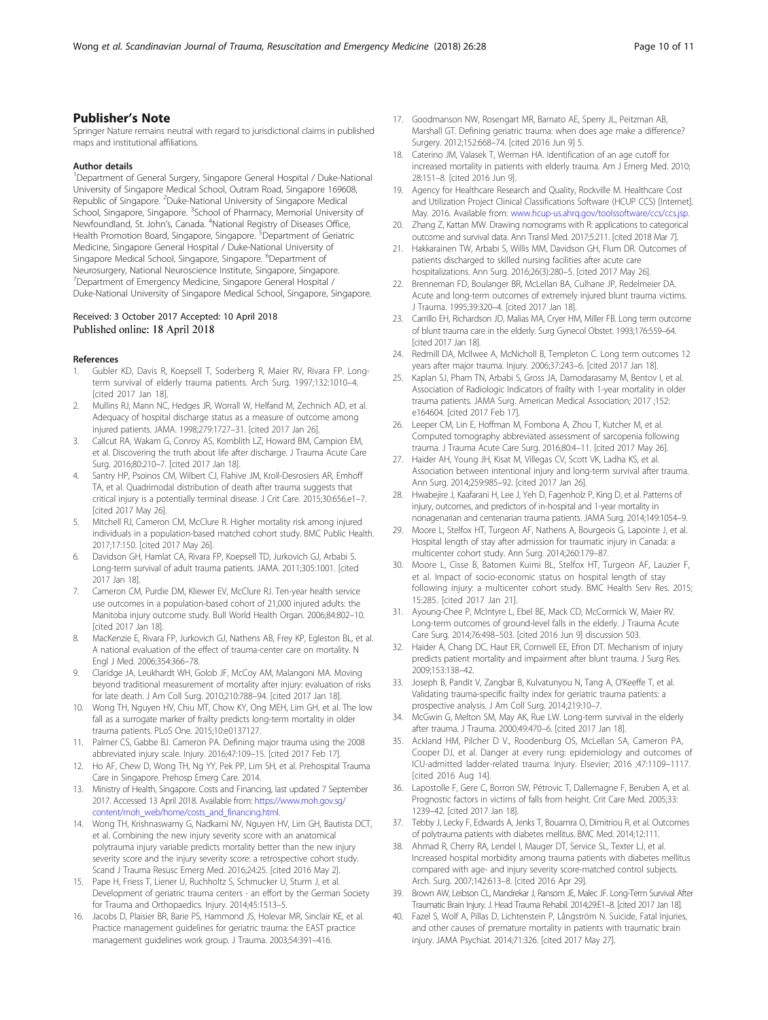## <span id="page-9-0"></span>Publisher's Note

Springer Nature remains neutral with regard to jurisdictional claims in published maps and institutional affiliations.

#### Author details

<sup>1</sup>Department of General Surgery, Singapore General Hospital / Duke-National University of Singapore Medical School, Outram Road, Singapore 169608, Republic of Singapore. <sup>2</sup>Duke-National University of Singapore Medical School, Singapore, Singapore. <sup>3</sup>School of Pharmacy, Memorial University of Newfoundland, St. John's, Canada. <sup>4</sup>National Registry of Diseases Office, Health Promotion Board, Singapore, Singapore. <sup>5</sup> Department of Geriatric Medicine, Singapore General Hospital / Duke-National University of Singapore Medical School, Singapore, Singapore. <sup>6</sup>Department of Neurosurgery, National Neuroscience Institute, Singapore, Singapore. 7 Department of Emergency Medicine, Singapore General Hospital / Duke-National University of Singapore Medical School, Singapore, Singapore.

## Received: 3 October 2017 Accepted: 10 April 2018 Published online: 18 April 2018

#### References

- 1. Gubler KD, Davis R, Koepsell T, Soderberg R, Maier RV, Rivara FP. Longterm survival of elderly trauma patients. Arch Surg. 1997;132:1010–4. [cited 2017 Jan 18].
- 2. Mullins RJ, Mann NC, Hedges JR, Worrall W, Helfand M, Zechnich AD, et al. Adequacy of hospital discharge status as a measure of outcome among injured patients. JAMA. 1998;279:1727–31. [cited 2017 Jan 26].
- 3. Callcut RA, Wakam G, Conroy AS, Kornblith LZ, Howard BM, Campion EM, et al. Discovering the truth about life after discharge. J Trauma Acute Care Surg. 2016;80:210–7. [cited 2017 Jan 18].
- Santry HP, Psoinos CM, Wilbert CJ, Flahive JM, Kroll-Desrosiers AR, Emhoff TA, et al. Quadrimodal distribution of death after trauma suggests that critical injury is a potentially terminal disease. J Crit Care. 2015;30:656.e1–7. [cited 2017 May 26].
- 5. Mitchell RJ, Cameron CM, McClure R. Higher mortality risk among injured individuals in a population-based matched cohort study. BMC Public Health. 2017;17:150. [cited 2017 May 26].
- Davidson GH, Hamlat CA, Rivara FP, Koepsell TD, Jurkovich GJ, Arbabi S. Long-term survival of adult trauma patients. JAMA. 2011;305:1001. [cited 2017 Jan 18].
- 7. Cameron CM, Purdie DM, Kliewer EV, McClure RJ. Ten-year health service use outcomes in a population-based cohort of 21,000 injured adults: the Manitoba injury outcome study. Bull World Health Organ. 2006;84:802–10. [cited 2017 Jan 18].
- MacKenzie E, Rivara FP, Jurkovich GJ, Nathens AB, Frey KP, Egleston BL, et al. A national evaluation of the effect of trauma-center care on mortality. N Engl J Med. 2006;354:366–78.
- 9. Claridge JA, Leukhardt WH, Golob JF, McCoy AM, Malangoni MA. Moving beyond traditional measurement of mortality after injury: evaluation of risks for late death. J Am Coll Surg. 2010;210:788–94. [cited 2017 Jan 18].
- 10. Wong TH, Nguyen HV, Chiu MT, Chow KY, Ong MEH, Lim GH, et al. The low fall as a surrogate marker of frailty predicts long-term mortality in older trauma patients. PLoS One. 2015;10:e0137127.
- 11. Palmer CS, Gabbe BJ. Cameron PA. Defining major trauma using the 2008 abbreviated injury scale. Injury. 2016;47:109–15. [cited 2017 Feb 17].
- 12. Ho AF, Chew D, Wong TH, Ng YY, Pek PP, Lim SH, et al. Prehospital Trauma Care in Singapore. Prehosp Emerg Care. 2014.
- 13. Ministry of Health, Singapore. Costs and Financing, last updated 7 September 2017. Accessed 13 April 2018. Available from: [https://www.moh.gov.sg/](https://www.moh.gov.sg/content/moh_web/home/costs_and_financing.html) [content/moh\\_web/home/costs\\_and\\_financing.html](https://www.moh.gov.sg/content/moh_web/home/costs_and_financing.html).
- 14. Wong TH, Krishnaswamy G, Nadkarni NV, Nguyen HV, Lim GH, Bautista DCT, et al. Combining the new injury severity score with an anatomical polytrauma injury variable predicts mortality better than the new injury severity score and the injury severity score: a retrospective cohort study. Scand J Trauma Resusc Emerg Med. 2016;24:25. [cited 2016 May 2].
- 15. Pape H, Friess T, Liener U, Ruchholtz S, Schmucker U, Sturm J, et al. Development of geriatric trauma centers - an effort by the German Society for Trauma and Orthopaedics. Injury. 2014;45:1513–5.
- 16. Jacobs D, Plaisier BR, Barie PS, Hammond JS, Holevar MR, Sinclair KE, et al. Practice management guidelines for geriatric trauma: the EAST practice management guidelines work group. J Trauma. 2003;54:391–416.
- 17. Goodmanson NW, Rosengart MR, Barnato AE, Sperry JL, Peitzman AB, Marshall GT. Defining geriatric trauma: when does age make a difference? Surgery. 2012;152:668–74. [cited 2016 Jun 9] 5.
- 18. Caterino JM, Valasek T, Werman HA. Identification of an age cutoff for increased mortality in patients with elderly trauma. Am J Emerg Med. 2010; 28:151–8. [cited 2016 Jun 9].
- 19. Agency for Healthcare Research and Quality, Rockville M. Healthcare Cost and Utilization Project Clinical Classifications Software (HCUP CCS) [Internet]. May. 2016. Available from: [www.hcup-us.ahrq.gov/toolssoftware/ccs/ccs.jsp.](http://www.hcup-us.ahrq.gov/toolssoftware/ccs/ccs.jsp)
- 20. Zhang Z, Kattan MW. Drawing nomograms with R: applications to categorical outcome and survival data. Ann Transl Med. 2017;5:211. [cited 2018 Mar 7].
- 21. Hakkarainen TW, Arbabi S, Willis MM, Davidson GH, Flum DR. Outcomes of patients discharged to skilled nursing facilities after acute care hospitalizations. Ann Surg. 2016;26(3):280–5. [cited 2017 May 26].
- 22. Brenneman FD, Boulanger BR, McLellan BA, Culhane JP, Redelmeier DA. Acute and long-term outcomes of extremely injured blunt trauma victims. J Trauma. 1995;39:320–4. [cited 2017 Jan 18].
- 23. Carrillo EH, Richardson JD, Malias MA, Cryer HM, Miller FB. Long term outcome of blunt trauma care in the elderly. Surg Gynecol Obstet. 1993;176:559–64. [cited 2017 Jan 18].
- 24. Redmill DA, McIlwee A, McNicholl B, Templeton C. Long term outcomes 12 years after major trauma. Injury. 2006;37:243–6. [cited 2017 Jan 18].
- 25. Kaplan SJ, Pham TN, Arbabi S, Gross JA, Damodarasamy M, Bentov I, et al. Association of Radiologic Indicators of frailty with 1-year mortality in older trauma patients. JAMA Surg. American Medical Association; 2017 ;152: e164604. [cited 2017 Feb 17].
- 26. Leeper CM, Lin E, Hoffman M, Fombona A, Zhou T, Kutcher M, et al. Computed tomography abbreviated assessment of sarcopenia following trauma. J Trauma Acute Care Surg. 2016;80:4–11. [cited 2017 May 26].
- 27. Haider AH, Young JH, Kisat M, Villegas CV, Scott VK, Ladha KS, et al. Association between intentional injury and long-term survival after trauma. Ann Surg. 2014;259:985–92. [cited 2017 Jan 26].
- 28. Hwabejire J, Kaafarani H, Lee J, Yeh D, Fagenholz P, King D, et al. Patterns of injury, outcomes, and predictors of in-hospital and 1-year mortality in nonagenarian and centenarian trauma patients. JAMA Surg. 2014;149:1054–9.
- 29. Moore L, Stelfox HT, Turgeon AF, Nathens A, Bourgeois G, Lapointe J, et al. Hospital length of stay after admission for traumatic injury in Canada: a multicenter cohort study. Ann Surg. 2014;260:179–87.
- 30. Moore L, Cisse B, Batomen Kuimi BL, Stelfox HT, Turgeon AF, Lauzier F, et al. Impact of socio-economic status on hospital length of stay following injury: a multicenter cohort study. BMC Health Serv Res. 2015; 15:285. [cited 2017 Jan 21].
- 31. Ayoung-Chee P, McIntyre L, Ebel BE, Mack CD, McCormick W, Maier RV. Long-term outcomes of ground-level falls in the elderly. J Trauma Acute Care Surg. 2014;76:498–503. [cited 2016 Jun 9] discussion 503.
- 32. Haider A, Chang DC, Haut ER, Cornwell EE, Efron DT. Mechanism of injury predicts patient mortality and impairment after blunt trauma. J Surg Res. 2009;153:138–42.
- 33. Joseph B, Pandit V, Zangbar B, Kulvatunyou N, Tang A, O'Keeffe T, et al. Validating trauma-specific frailty index for geriatric trauma patients: a prospective analysis. J Am Coll Surg. 2014;219:10–7.
- 34. McGwin G, Melton SM, May AK, Rue LW. Long-term survival in the elderly after trauma. J Trauma. 2000;49:470–6. [cited 2017 Jan 18].
- 35. Ackland HM, Pilcher D V., Roodenburg OS, McLellan SA, Cameron PA, Cooper DJ, et al. Danger at every rung: epidemiology and outcomes of ICU-admitted ladder-related trauma. Injury. Elsevier; 2016 ;47:1109–1117. [cited 2016 Aug 14].
- 36. Lapostolle F, Gere C, Borron SW, Pétrovic T, Dallemagne F, Beruben A, et al. Prognostic factors in victims of falls from height. Crit Care Med. 2005;33: 1239–42. [cited 2017 Jan 18].
- 37. Tebby J, Lecky F, Edwards A, Jenks T, Bouamra O, Dimitriou R, et al. Outcomes of polytrauma patients with diabetes mellitus. BMC Med. 2014;12:111.
- 38. Ahmad R, Cherry RA, Lendel I, Mauger DT, Service SL, Texter LJ, et al. Increased hospital morbidity among trauma patients with diabetes mellitus compared with age- and injury severity score-matched control subjects. Arch. Surg. 2007;142:613–8. [cited 2016 Apr 29].
- 39. Brown AW, Leibson CL, Mandrekar J, Ransom JE, Malec JF. Long-Term Survival After Traumatic Brain Injury. J. Head Trauma Rehabil. 2014;29:E1–8. [cited 2017 Jan 18].
- 40. Fazel S, Wolf A, Pillas D, Lichtenstein P, Långström N. Suicide, Fatal Injuries, and other causes of premature mortality in patients with traumatic brain injury. JAMA Psychiat. 2014;71:326. [cited 2017 May 27].